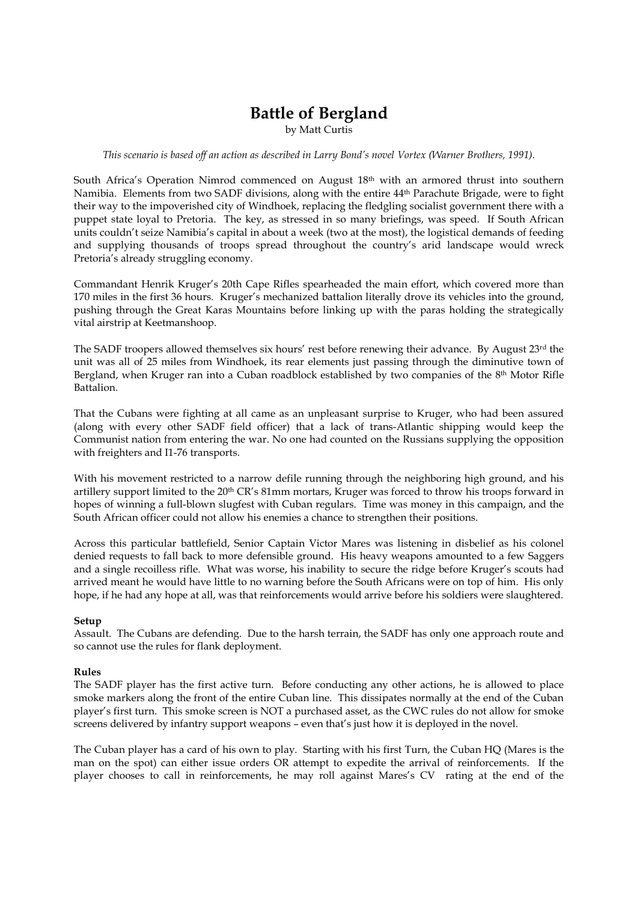# Battle of Bergland

by Matt Curtis

### This scenario is based off an action as described in Larry Bond's novel Vortex (Warner Brothers, 1991).

South Africa's Operation Nimrod commenced on August 18th with an armored thrust into southern Namibia. Elements from two SADF divisions, along with the entire 44th Parachute Brigade, were to fight their way to the impoverished city of Windhoek, replacing the fledgling socialist government there with a puppet state loyal to Pretoria. The key, as stressed in so many briefings, was speed. If South African units couldn't seize Namibia's capital in about a week (two at the most), the logistical demands of feeding and supplying thousands of troops spread throughout the country's arid landscape would wreck Pretoria's already struggling economy.

Commandant Henrik Kruger's 20th Cape Rifles spearheaded the main effort, which covered more than 170 miles in the first 36 hours. Kruger's mechanized battalion literally drove its vehicles into the ground, pushing through the Great Karas Mountains before linking up with the paras holding the strategically vital airstrip at Keetmanshoop.

The SADF troopers allowed themselves six hours' rest before renewing their advance. By August 23rd the unit was all of 25 miles from Windhoek, its rear elements just passing through the diminutive town of Bergland, when Kruger ran into a Cuban roadblock established by two companies of the 8th Motor Rifle Battalion.

That the Cubans were fighting at all came as an unpleasant surprise to Kruger, who had been assured (along with every other SADF field officer) that a lack of trans-Atlantic shipping would keep the Communist nation from entering the war. No one had counted on the Russians supplying the opposition with freighters and I1-76 transports.

With his movement restricted to a narrow defile running through the neighboring high ground, and his artillery support limited to the 20<sup>th</sup> CR's 81mm mortars, Kruger was forced to throw his troops forward in hopes of winning a full-blown slugfest with Cuban regulars. Time was money in this campaign, and the South African officer could not allow his enemies a chance to strengthen their positions.

Across this particular battlefield, Senior Captain Victor Mares was listening in disbelief as his colonel denied requests to fall back to more defensible ground. His heavy weapons amounted to a few Saggers and a single recoilless rifle. What was worse, his inability to secure the ridge before Kruger's scouts had arrived meant he would have little to no warning before the South Africans were on top of him. His only hope, if he had any hope at all, was that reinforcements would arrive before his soldiers were slaughtered.

## Setup

Assault. The Cubans are defending. Due to the harsh terrain, the SADF has only one approach route and so cannot use the rules for flank deployment.

#### Rules

The SADF player has the first active turn. Before conducting any other actions, he is allowed to place smoke markers along the front of the entire Cuban line. This dissipates normally at the end of the Cuban player's first turn. This smoke screen is NOT a purchased asset, as the CWC rules do not allow for smoke screens delivered by infantry support weapons – even that's just how it is deployed in the novel.

The Cuban player has a card of his own to play. Starting with his first Turn, the Cuban HQ (Mares is the man on the spot) can either issue orders OR attempt to expedite the arrival of reinforcements. If the player chooses to call in reinforcements, he may roll against Mares's CV rating at the end of the